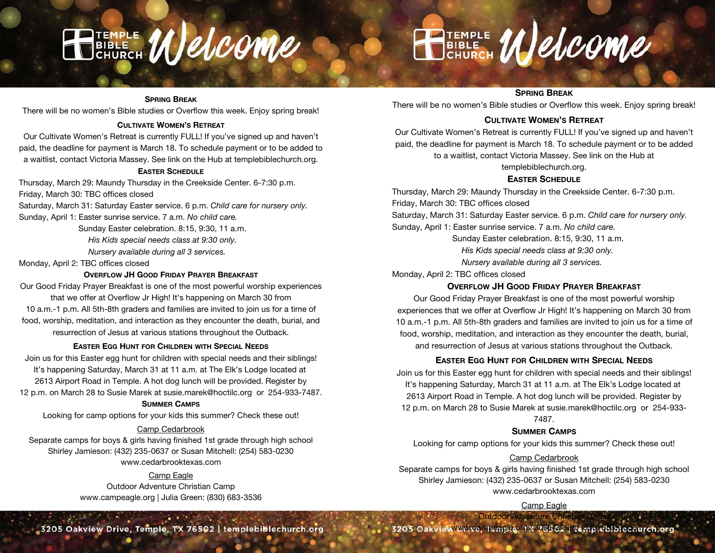

# SPRING BREAK

There will be no women's Bible studies or Overflow this week. Enjoy spring break!

# CULTIVATE WOMEN'S RETREAT

Our Cultivate Women's Retreat is currently FULL! If you've signed up and haven't paid, the deadline for payment is March 18. To schedule payment or to be added to a waitlist, contact Victoria Massey. See link on the Hub at templebiblechurch.org.

#### EASTER SCHEDULE

Thursday, March 29: Maundy Thursday in the Creekside Center. 6-7:30 p.m. Friday, March 30: TBC offices closed

Saturday, March 31: Saturday Easter service. 6 p.m. Child care for nursery only. Sunday, April 1: Easter sunrise service. 7 a.m. No child care.

Sunday Easter celebration. 8:15, 9:30, 11 a.m.

His Kids special needs class at 9:30 only.

Nursery available during all 3 services.

Monday, April 2: TBC offices closed

# OVERFLOW JH GOOD FRIDAY PRAYER BREAKFAST

Our Good Friday Prayer Breakfast is one of the most powerful worship experiences that we offer at Overflow Jr High! It's happening on March 30 from

10 a.m.-1 p.m. All 5th-8th graders and families are invited to join us for a time of food, worship, meditation, and interaction as they encounter the death, burial, and resurrection of Jesus at various stations throughout the Outback.

#### EASTER EGG HUNT FOR CHILDREN WITH SPECIAL NEEDS

Join us for this Easter egg hunt for children with special needs and their siblings! It's happening Saturday, March 31 at 11 a.m. at The Elk's Lodge located at 2613 Airport Road in Temple. A hot dog lunch will be provided. Register by 12 p.m. on March 28 to Susie Marek at susie.marek@hoctilc.org or 254-933-7487.

#### SUMMER CAMPS

Looking for camp options for your kids this summer? Check these out!

### Camp Cedarbrook

Separate camps for boys & girls having finished 1st grade through high school Shirley Jamieson: (432) 235-0637 or Susan Mitchell: (254) 583-0230 www.cedarbrooktexas.com

# Camp Eagle

Outdoor Adventure Christian Camp www.campeagle.org | Julia Green: (830) 683-3536

3205 Oakview Drive, Temple, TX 76502 | templebiblechurch.org